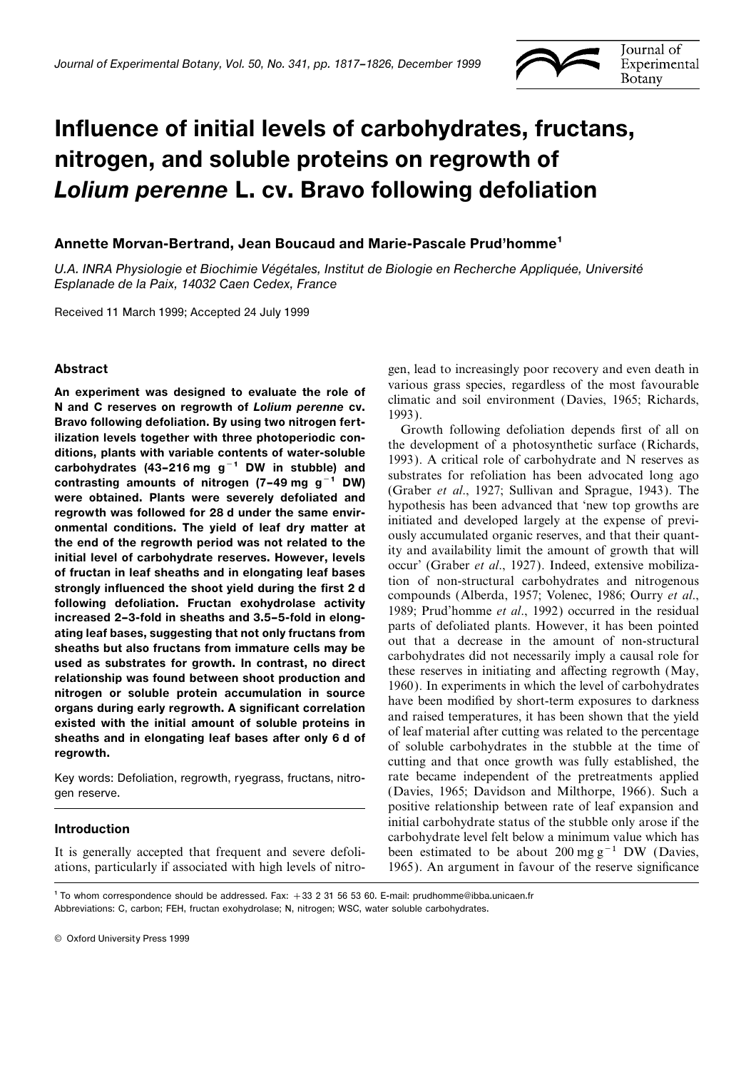

# Influence of initial levels of carbohydrates, fructans, nitrogen, and soluble proteins on regrowth of Lolium perenne L. cv. Bravo following defoliation

## Annette Morvan-Bertrand, Jean Boucaud and Marie-Pascale Prud'homme1

U.A. INRA Physiologie et Biochimie Végétales, Institut de Biologie en Recherche Appliquée, Université Esplanade de la Paix, 14032 Caen Cedex, France

Received 11 March 1999; Accepted 24 July 1999

An experiment was designed to evaluate the role of<br>
various grass pecies. regardless of the most favorable and<br>
N and C reserves on regrowth of Lofuim personne cv.<br>
Brave following defollation. By using two nitrogenne for

ations, particularly if associated with high levels of nitro- 1965). An argument in favour of the reserve significance

Abstract **Abstract** gen, lead to increasingly poor recovery and even death in

Key words: Defoliation, regrowth, ryegrass, fructans, nitro- rate became independent of the pretreatments applied gen reserve. (Davies, 1965; Davidson and Milthorpe, 1966). Such a positive relationship between rate of leaf expansion and **Introduction**<br>Initial carbohydrate status of the stubble only arose if the carbohydrate level felt below a minimum value which has It is generally accepted that frequent and severe defoli- been estimated to be about 200 mg  $g^{-1}$  DW (Davies,

1 To whom correspondence should be addressed. Fax: +33 2 31 56 53 60. E-mail: prudhomme@ibba.unicaen.fr Abbreviations: C, carbon; FEH, fructan exohydrolase; N, nitrogen; WSC, water soluble carbohydrates.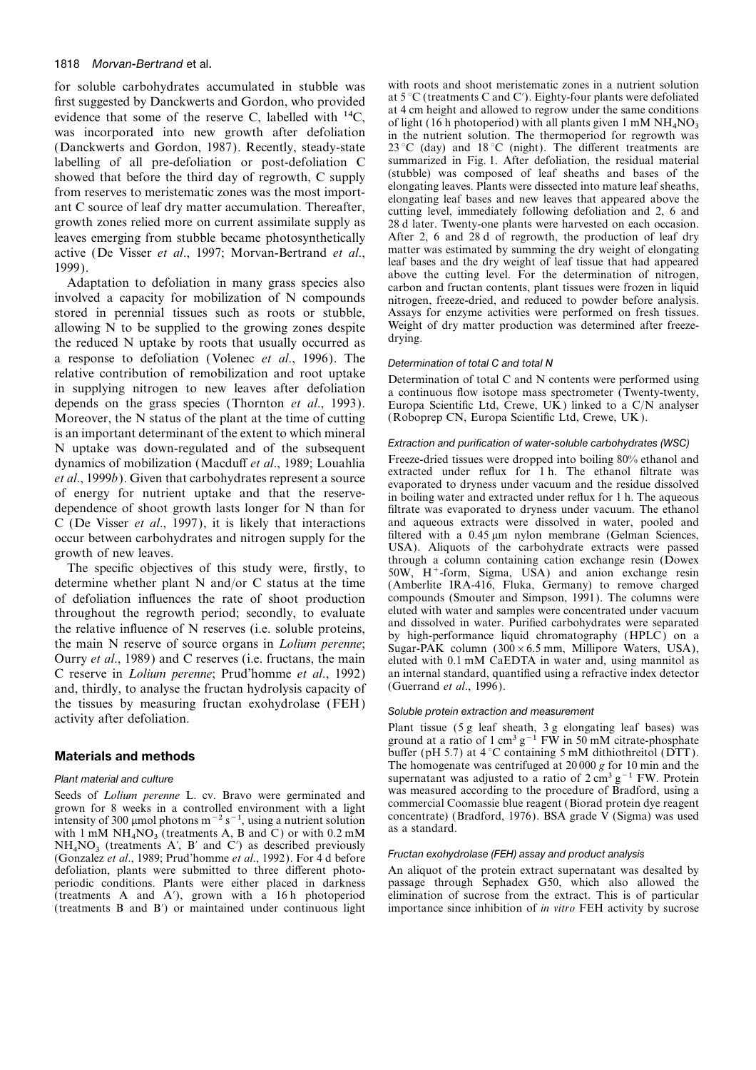### 1818 Morvan-Bertrand et al.

first suggested by Danckwerts and Gordon, who provided<br>evidence that some of the reserve C, labelled with <sup>14</sup>C,<br>was incorporated into new growth after defoliation<br>in the nutrient solution. The thermoperiod for regrowth w was incorporated into new growth after defoliation (Danckwerts and Gordon, 1987). Recently, steady-state labelling of all pre-defoliation or post-defoliation C summarized in Fig. 1. After defoliation, the residual material<br>showed that before the third day of regrowth, C supply (stubble) was composed of leaf sheaths and bases ant C source of leaf dry matter accumulation. Thereafter, entring level, immediately following defoliation and 2, 6 and growth zones relied more on current assimilate supply as 28 d later. Twenty-one plants were harvested leaves emerging from stubble became photosynthetically After 2, 6 and 28 d of regrowth, the production of leaf dry active (De Visser et al. 1997: Morvan-Bertrand et al. matter was estimated by summing the dry weight of el

stored in perennial tissues such as roots or stubble, Assays for enzyme activities were performed on fresh tissues.<br>allowing N to be supplied to the growing zones despite Weight of dry matter production was determined afte allowing N to be supplied to the growing zones despite Weight the reduced N untake by roots that usually occurred as drying. the reduced N uptake by roots that usually occurred as a response to defoliation (Volenec *et al.*, 1996). The Determination of total C and total N<br>relative contribution of remobilization and root uptake in supplying nitrogen to new leaves after defoliation<br>a continuous flow isotope mass spectrometer (Twenty-twenty, depends on the grass species (Thornton *et al.*, 1993). Europa Scientific Ltd, Crewe, UK) linked to a C/N analyser Moreover, the N status of the plant at the time of cutting (Roboprep CN, Europa Scientific Ltd, Crewe, UK). Moreover, the N status of the plant at the time of cutting is an important determinant of the extent to which mineral<br>
N uptake was down-regulated and of the subsequent<br>
dynamics of mobilization (Macduff *et al.*, 1989; Louahlia<br> *et al.*, 1999*b*). Given that carbohydrates repres dependence of shoot growth lasts longer for N than for filtrate was evaporated to dryness under vacuum. The ethanol C (De Visser *et al.*, 1997), it is likely that interactions and aqueous extracts were dissolved in water, pooled and occur between carbohydrates and nitrogen supply for the filtered with a 0.45  $\mu$ m nylon membrane (Gelma

of defoliation influences the rate of shoot production compounds (Smouter and Simpson, 1991). The columns were<br>throughout the regrowth period: secondly, to evaluate eluted with water and samples were concentrated under vac throughout the regrowth period; secondly, to evaluate eluted with water and samples were concentrated under vacuum<br>the relative influence of N recentrated is easily perstained and dissolved in water. Purified carbohydrates the relative influence of N reserves (i.e. soluble proteins,<br>the main N reserve of source organs in *Lolium perenne*;<br>Ourry *et al.*, 1989) and C reserves (i.e. fructans, the main<br>C reserve in *Lolium perenne*; Prud'homme and, thirdly, to analyse the fructan hydrolysis capacity of the tissues by measuring fructan exohydrolase (FEH) Soluble protein extraction and measurement<br>activity after defoliation. Plant tissue (5 g leaf sheath, 3 g elongating leaf bases) was

Seeds of *Lolium perenne* L. cv. Bravo were germinated and<br>grown for 8 weeks in a controlled environment with a light<br>intensity of 300 µmol photons m<sup>-2</sup> s<sup>-1</sup>, using a nutrient solution<br>intensity of 300 µmol photons m<sup>-2</sup> with 1 mM  $NH_4NO_3$  (treatments A, B and C) or with 0.2 mM  $NH<sub>4</sub>NO<sub>3</sub>$  (treatments A', B' and C') as described previously NO<sup>3</sup> (treatments A∞, B<sup>∞</sup> and C∞) as described previously Fructan exohydrolase (FEH) assay and product analysis (Gonzalez *et al*., 1989; Prud'homme *et al*., 1992). For 4 d before defoliation, plants were submitted to three different photoperiodic conditions. Plants were either placed in darkness passage through Sephadex G50, which also allowed the (treatments A and A'), grown with a 16 h photoperiod elimination of sucrose from the extract. This is of parti (treatments A and A $'$ ), grown with a 16 h photoperiod (treatments B and B $'$ ) or maintained under continuous light

for soluble carbohydrates accumulated in stubble was with roots and shoot meristematic zones in a nutrient solution<br>first suggested by Dangkwarts and Gordon who provided at  $5^{\circ}$ C (treatments C and C'). Eighty-four plan of light (16 h photoperiod) with all plants given 1 mM  $NH_4NO_3$  $23^{\circ}$ C (day) and  $18^{\circ}$ C (night). The different treatments are summarized in Fig. 1. After defoliation, the residual material active (De Visser *et al.*, 1997; Morvan-Bertrand *et al.*, matter was estimated by summing the dry weight of elongating<br>1999).<br>Adaptation to defoliation in many grass species also above the cutting level. For the determin

occur between carbohydrates and nitrogen supply for the filtered with a 0.45  $\mu$ m nylon membrane (Gelman Sciences,<br>growth of new leaves.<br>The specific objectives of this study were, firstly, to<br>determine whether plant N an an internal standard, quantified using a refractive index detector (Guerrand et al., 1996).

ground at a ratio of 1 cm<sup>3</sup> g<sup>-1</sup> FW in 50 mM citrate-phosphate **Materials and methods** buffer (pH 5.7) at  $4^{\circ}$ C containing 5 mM dithiothreitol (DTT). The homogenate was centrifuged at 20 000 *g* for 10 min and the Plant material and culture supernatant was adjusted to a ratio of 2 cm<sup>3</sup> g<sup>−1</sup> FW. Protein<br>Seeds of *Lolium naranna* L cy. Brayo were germinated and was measured according to the procedure of Bradford, using a

importance since inhibition of *in vitro* FEH activity by sucrose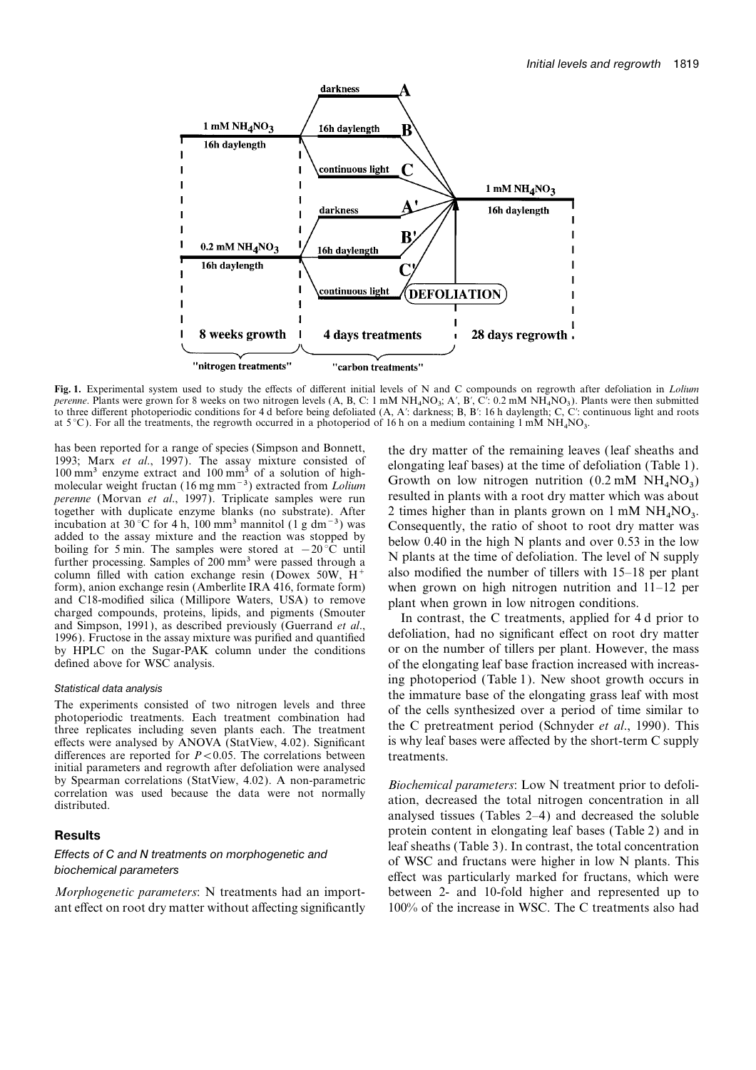

**Fig. 1.** Experimental system used to study the effects of different initial levels of N and C compounds on regrowth after defoliation in *Lolium perenne*. Plants were grown for 8 weeks on two nitrogen levels (A, B, C: 1 mM NH<sub>4</sub>NO<sub>3</sub>; A', B', C': 0.2 mM NH<sub>4</sub>NO<sub>3</sub>). Plants were then submitted<br>to three different photoperiodic conditions for 4.4 hefore being defelia to three different photoperiodic conditions for 4 d before being defoliated (A, A′: darkness; B, B′: 16 h daylength; C, C′: continuous light and roots at 5 °C). For all the treatments, the regrowth occurred in a photoperiod of 16 h on a medium containing 1 mM  $NH<sub>4</sub>NO<sub>3</sub>$ .

has been reported for a range of species (Simpson and Bonnett,<br>1993; Marx *et al.*, 1997). The assay mixture consisted of<br>100 mm<sup>3</sup> enzyme extract and 100 mm<sup>3</sup> of a solution of high-<br>molecular weight fructan (16 mg mm<sup>-3</sup> *perenne* (Morvan *et al.*, 1997). Triplicate samples were run resulted in plants with a root dry matter which was about together with duplicate enzyme blanks (no substrate). After 2 times higher than in plants grown on 1 mM NH<sub>4</sub>NO<sub>3</sub>. incubation at 30 °C for 4 h, 100 mm<sup>3</sup> mannitol (1 g dm<sup>-3</sup>) was Consequently, the ratio of shoot to root added to the assay mixture and the reaction was stopped by<br>below 0.40 in the high N plants and over 0.53 in the low<br>boiling for 5 min. The samples were stored at  $-20^{\circ}$ C until<br>further processing. Samples of 200 mm<sup>3</sup> w column filled with cation exchange resin (Dowex 50W,  $H^+$ form), anion exchange resin (Amberlite IRA 416, formate form) when grown on high nitrogen nutrition and 11–12 per and C18-modified silica (Millipore Waters, USA) to remove plant when grown in low nitrogen conditions and C18-modified silica (Millipore Waters, USA) to remove<br>charged compounds, proteins, lipids, and pigments (Smouter<br>and Simpson, 1991), as described previously (Guerrand *et al.*,<br>1996). Fructose in the assay mixture was

effects were analysed by ANOVA (StatView, 4.02). Significant differences are reported for  $P < 0.05$ . The correlations between treatments. initial parameters and regrowth after defoliation were analysed by Spearman correlations (StatView, 4.02). A non-parametric *Biochemical parameters*: Low N treatment prior to defoli-<br>correlation was used because the data were not normally ation, decreased the total nitrogen concentrati

ant effect on root dry matter without affecting significantly 100% of the increase in WSC. The C treatments also had

Growth on low nitrogen nutrition  $(0.2 \text{ mM } NH_A NO_3)$  $NO<sub>3</sub>$ .

by HPLC on the Sugar-PAK column under the conditions or on the number of tillers per plant. However, the mass defined above for WSC analysis.  $\qquad \qquad$  of the elongating leaf base fraction increased with increas-Statistical data analysis<br>
The experiments consisted of two nitrogen levels and three<br>
photoperiod (Table 1). New shoot growth occurs in<br>
the immature base of the elongating grass leaf with most<br>
photoperiodic treatments.

analysed tissues (Tables 2–4) and decreased the soluble **Results** protein content in elongating leaf bases (Table 2) and in leaf sheaths (Table 3). In contrast, the total concentration Effects of C and N treatments on morphogenetic and<br>biochemical parameters<br>biochemical parameters<br>effect was particularly marked for fructans, which were *Morphogenetic parameters*: N treatments had an import- between 2- and 10-fold higher and represented up to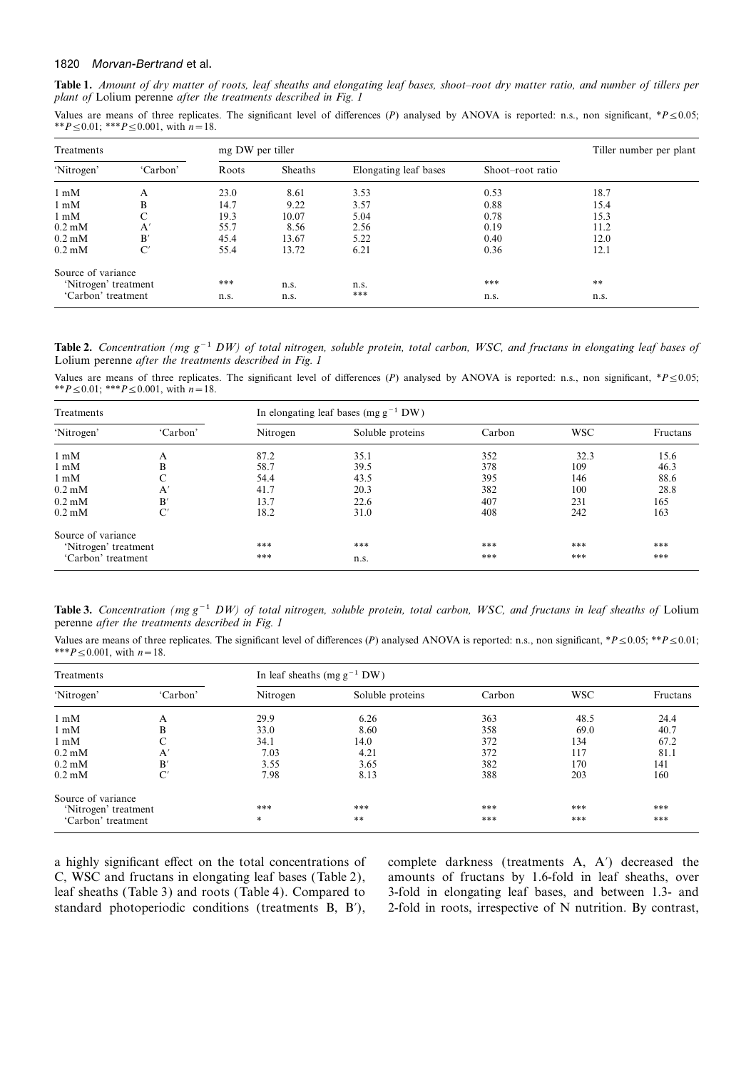### 1820 Morvan-Bertrand et al.

**Table 1.** *Amount of dry matter of roots, leaf sheaths and elongating leaf bases, shoot–root dry matter ratio, and number of tillers per plant of* Lolium perenne *after the treatments described in Fig. 1*

Values are means of three replicates. The significant level of differences (*P*) analysed by ANOVA is reported: n.s., non significant, \**P*≤0.05; \*\**P*≤0.01; \*\*\**P*≤0.001, with *n*=18.

| Treatments           |                     | mg DW per tiller |         | Tiller number per plant |                  |      |
|----------------------|---------------------|------------------|---------|-------------------------|------------------|------|
| 'Nitrogen'           | 'Carbon'            | Roots            | Sheaths | Elongating leaf bases   | Shoot-root ratio |      |
| $1 \text{ mM}$       | A                   | 23.0             | 8.61    | 3.53                    | 0.53             | 18.7 |
| $1 \text{ mM}$       | B                   | 14.7             | 9.22    | 3.57                    | 0.88             | 15.4 |
| $1 \text{ mM}$       | C                   | 19.3             | 10.07   | 5.04                    | 0.78             | 15.3 |
| $0.2 \text{ mM}$     | A'                  | 55.7             | 8.56    | 2.56                    | 0.19             | 11.2 |
| $0.2 \text{ mM}$     | B'                  | 45.4             | 13.67   | 5.22                    | 0.40             | 12.0 |
| $0.2 \text{ mM}$     | $\mathrm{C}^\prime$ | 55.4             | 13.72   | 6.21                    | 0.36             | 12.1 |
| Source of variance   |                     |                  |         |                         |                  |      |
| 'Nitrogen' treatment |                     | ***              | n.s.    | n.s.                    | ***              | **   |
| 'Carbon' treatment   |                     | n.s.             | n.s.    | ***                     | n.s.             | n.s. |

**Table 2.** *Concentration (mg g*−1 *DW) of total nitrogen, soluble protein, total carbon, WSC, and fructans in elongating leaf bases of* Lolium perenne *after the treatments described in Fig. 1*

Values are means of three replicates. The significant level of differences (*P*) analysed by ANOVA is reported: n.s., non significant, \**P* ≤0.05; \*\**P*≤0.01; \*\*\**P*≤0.001, with *n*=18.

| Treatments                |              | In elongating leaf bases (mg $g^{-1}$ DW) |                  |        |            |          |  |
|---------------------------|--------------|-------------------------------------------|------------------|--------|------------|----------|--|
| 'Nitrogen'                | 'Carbon'     | Nitrogen                                  | Soluble proteins | Carbon | <b>WSC</b> | Fructans |  |
| $1 \text{ mM}$            | A            | 87.2                                      | 35.1             | 352    | 32.3       | 15.6     |  |
| $1 \text{ mM}$            | B            | 58.7                                      | 39.5             | 378    | 109        | 46.3     |  |
| $1 \text{ mM}$            | C            | 54.4                                      | 43.5             | 395    | 146        | 88.6     |  |
| $0.2 \text{ }\mathrm{mM}$ | $\mathbf{A}$ | 41.7                                      | 20.3             | 382    | 100        | 28.8     |  |
| $0.2 \text{ }\mathrm{mM}$ | B'           | 13.7                                      | 22.6             | 407    | 231        | 165      |  |
| $0.2 \text{ }\mathrm{mM}$ | C'           | 18.2                                      | 31.0             | 408    | 242        | 163      |  |
| Source of variance        |              |                                           |                  |        |            |          |  |
| 'Nitrogen' treatment      |              | ***                                       | ***              | ***    | ***        | ***      |  |
| 'Carbon' treatment        |              | ***                                       | n.s.             | ***    | ***        | ***      |  |

**Table 3.** *Concentration (mg g*−1 *DW) of total nitrogen, soluble protein, total carbon, WSC, and fructans in leaf sheaths of* Lolium perenne *after the treatments described in Fig. 1*

Values are means of three replicates. The significant level of differences (*P*) analysed ANOVA is reported: n.s., non significant, \**P*≤0.05; \*\**P*≤0.01; \*\*\**P*≤0.001, with *n*=18.

| Treatments                |              | In leaf sheaths (mg $g^{-1}$ DW) |                  |        |            |          |  |
|---------------------------|--------------|----------------------------------|------------------|--------|------------|----------|--|
| 'Nitrogen'                | 'Carbon'     | Nitrogen                         | Soluble proteins | Carbon | <b>WSC</b> | Fructans |  |
| $1 \text{ mM}$            | A            | 29.9                             | 6.26             | 363    | 48.5       | 24.4     |  |
| $1 \text{ mM}$            | B            | 33.0                             | 8.60             | 358    | 69.0       | 40.7     |  |
| $1 \text{ mM}$            | C            | 34.1                             | 14.0             | 372    | 134        | 67.2     |  |
| $0.2 \text{ }\mathrm{mM}$ | $\mathbf{A}$ | 7.03                             | 4.21             | 372    | 117        | 81.1     |  |
| $0.2 \text{ mM}$          | B'           | 3.55                             | 3.65             | 382    | 170        | 141      |  |
| $0.2 \text{ mM}$          | C'           | 7.98                             | 8.13             | 388    | 203        | 160      |  |
| Source of variance        |              |                                  |                  |        |            |          |  |
| 'Nitrogen' treatment      |              | ***                              | ***              | ***    | ***        | ***      |  |
| 'Carbon' treatment        |              | *                                | **               | ***    | ***        | ***      |  |

C, WSC and fructans in elongating leaf bases (Table 2), amounts of fructans by 1.6-fold in leaf sheaths, over leaf sheaths (Table 3) and roots (Table 4). Compared to 3-fold in elongating leaf bases, and between 1.3- and standard photoperiodic conditions (treatments B, B<sup>'</sup>), 2-fold in roots, irrespective of N nutrition. By contrast,

a highly significant effect on the total concentrations of complete darkness (treatments A, A $\prime$ ) decreased the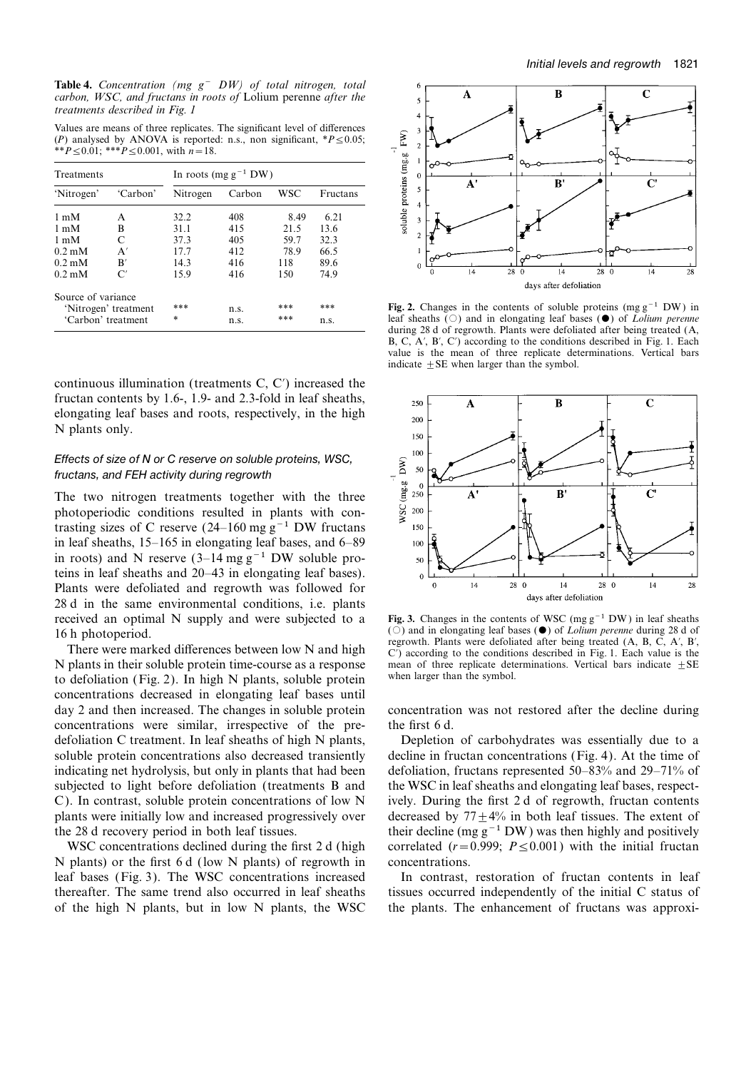**Table 4.** *Concentration (mg g*− *DW) of total nitrogen, total carbon, WSC, and fructans in roots of* Lolium perenne *after the treatments described in Fig. 1*

Values are means of three replicates. The significant level of differences (*P*) analysed by ANOVA is reported: n.s., non significant, \**P*≤0.05; \*\**P*≤0.01; \*\*\**P*≤0.001, with *n*=18.

| Treatments           |               | In roots (mg $g^{-1}$ DW) |        |      |          |  |
|----------------------|---------------|---------------------------|--------|------|----------|--|
| 'Nitrogen'           | 'Carbon'      | Nitrogen                  | Carbon | WSC  | Fructans |  |
| $1 \text{ mM}$       | А             | 32.2                      | 408    | 8.49 | 6.21     |  |
| $1 \text{ mM}$       | B             | 31 1                      | 415    | 21.5 | 13.6     |  |
| $1 \text{ mM}$       | C             | 373                       | 405    | 59.7 | 32.3     |  |
| $0.2 \text{ mM}$     | A'            | 17.7                      | 412    | 78.9 | 66.5     |  |
| $0.2 \text{ mM}$     | B'            | 14.3                      | 416    | 118  | 89.6     |  |
| $0.2 \text{ mM}$     | $\mathsf{C}'$ | 15.9                      | 416    | 150  | 74.9     |  |
| Source of variance   |               |                           |        |      |          |  |
| 'Nitrogen' treatment |               | ***                       | n.s.   | ***  | ***      |  |
| 'Carbon' treatment   |               | $\ast$                    | n.s.   | ***  | n.s.     |  |

continuous illumination (treatments  $C, C'$ ) increased the fructan contents by 1.6-, 1.9- and 2.3-fold in leaf sheaths, elongating leaf bases and roots, respectively, in the high N plants only.

### Effects of size of N or C reserve on soluble proteins, WSC, fructans, and FEH activity during regrowth

The two nitrogen treatments together with the three photoperiodic conditions resulted in plants with contrasting sizes of C reserve (24–160 mg g<sup>-1</sup> DW fructans in leaf sheaths, 15–165 in elongating leaf bases, and 6–89 in roots) and N reserve  $(3-14 \text{ mg g}^{-1}$  DW soluble proteins in leaf sheaths and 20–43 in elongating leaf bases). Plants were defoliated and regrowth was followed for 28 d in the same environmental conditions, i.e. plants received an optimal N supply and were subjected to a **Fig. 3.** Changes in the contents of WSC (mg g<sup>-1</sup> DW) in leaf sheaths (○) and in elongating leaf bases (●) of *Lolium perenne* during 28 d of

N plants in their soluble protein time-course as a response mean of three replicate determination (Fig. 2). In high N plants, soluble protein when larger than the symbol. to defoliation (Fig. 2). In high N plants, soluble protein concentrations decreased in elongating leaf bases until day 2 and then increased. The changes in soluble protein concentration was not restored after the decline during concentrations were similar, irrespective of the pre- the first 6 d. defoliation C treatment. In leaf sheaths of high N plants, Depletion of carbohydrates was essentially due to a soluble protein concentrations also decreased transiently decline in fructan concentrations (Fig. 4). At the time of indicating net hydrolysis, but only in plants that had been defoliation, fructans represented 50–83% and 29–71% of subjected to light before defoliation (treatments B and the WSC in leaf sheaths and elongating leaf bases, respect-C). In contrast, soluble protein concentrations of low N ively. During the first 2 d of regrowth, fructan contents plants were initially low and increased progressively over decreased by  $77+4\%$  in both leaf tissues. The extent of the 28 d recovery period in both leaf tissues. their decline (mg g<sup>-1</sup> DW) was then highly and positively

N plants) or the first 6 d (low N plants) of regrowth in concentrations. leaf bases (Fig. 3). The WSC concentrations increased In contrast, restoration of fructan contents in leaf thereafter. The same trend also occurred in leaf sheaths tissues occurred independently of the initial C status of of the high N plants, but in low N plants, the WSC the plants. The enhancement of fructans was approxi-



Fig. 2. Changes in the contents of soluble proteins (mg  $g^{-1}$  DW) in leaf sheaths ( $\circ$ ) and in elongating leaf bases ( $\bullet$ ) of *Lolium perenne* during 28 d of regrowth. Plants were defoliated after being treated (A, B, C, A $'$ , B $'$ , C $'$ ) according to the conditions described in Fig. 1. Each value is the mean of three replicate determinations. Vertical bars indicate  $\pm$  SE when larger than the symbol.



16 h photoperiod. (C) and in elongating leaf bases (O) of *Lolium perenne* during 28 d of<br>There were marked differences between low N and high<br>N plants in their soluble protein time-course as a response<br>N plants in their

WSC concentrations declined during the first 2 d (high correlated  $(r=0.999; P \le 0.001)$ ) with the initial fructan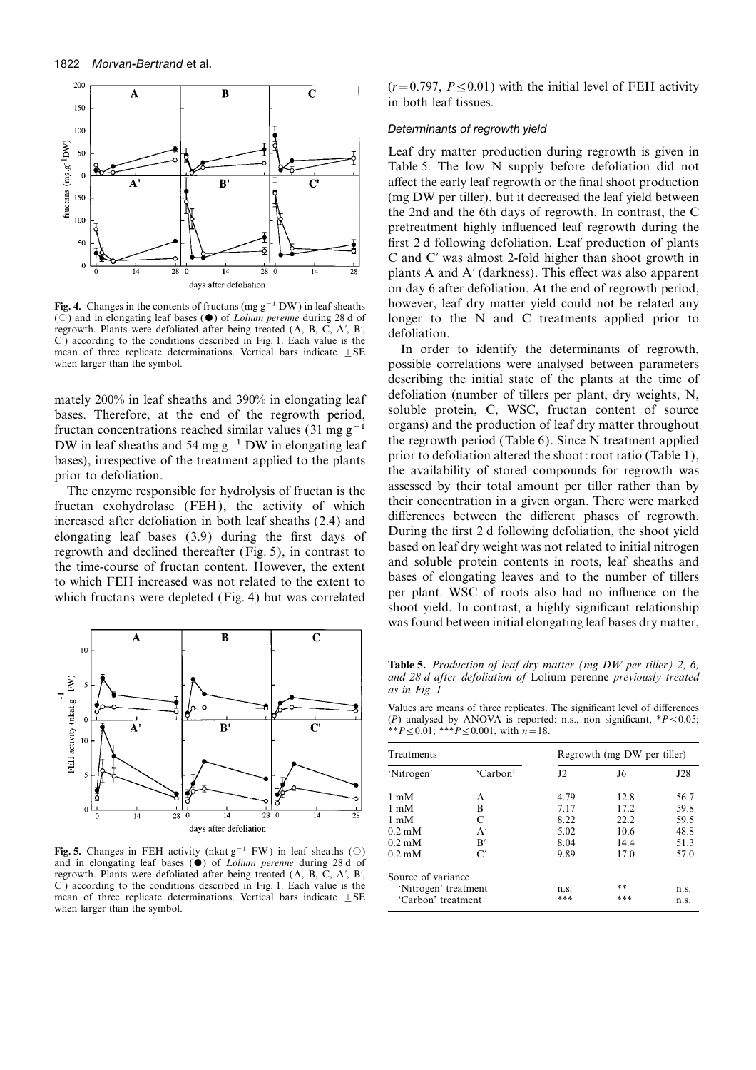

( $\circ$ ) and in elongating leaf bases ( $\bullet$ ) of *Lolium perenne* during 28 d of<br>regrowth. Plants were defoliated after being treated (A, B, C, A', B',<br>C') according to the conditions described in Fig. 1. Each value is the<br>m mean of three replicate determinations. Vertical bars indicate  $\pm$  SE

bases. Therefore, at the end of the regrowth period, soluble protein, C, WSC, fructan content of source fructan concentrations reached similar values (31 mg g<sup>−1</sup> mgans) and the production of leaf dry matter throughout fr



**Fig. 5.** Changes in FEH activity (nkat g<sup>-1</sup> FW) in leaf sheaths (○) and in elongating leaf bases ( $\bullet$ ) of *Lolium perenne* during 28 d of regrowth. Plants were defoliated after being treated (A, B, C, A', B', C') according to the conditions described in Fig. 1. Each value is the mean of three replicate determinations. Vertical bars indicate  $\pm$ SE when larger than the symbol.

 $(r=0.797, P \le 0.01)$  with the initial level of FEH activity in both leaf tissues.

### Determinants of regrowth yield

Leaf dry matter production during regrowth is given in Table 5. The low N supply before defoliation did not affect the early leaf regrowth or the final shoot production (mg DW per tiller), but it decreased the leaf yield between the 2nd and the 6th days of regrowth. In contrast, the C pretreatment highly influenced leaf regrowth during the first 2 d following defoliation. Leaf production of plants C and C' was almost 2-fold higher than shoot growth in plants A and A' (darkness). This effect was also apparent on day 6 after defoliation. At the end of regrowth period, **Fig. 4.** Changes in the contents of fructans (mg g<sup>-1</sup> DW) in leaf sheaths however, leaf dry matter yield could not be related any (○) and in elongating leaf bases (●) of *Lolium perenne* during 28 d of longer to the N a

when larger than the symbol. **possible correlations were analysed between parameters** describing the initial state of the plants at the time of mately 200% in leaf sheaths and 390% in elongating leaf defoliation (number of tillers per plant, dry weights, N, soluble protein, C, WSC, fructan content of source DW in leaf sheaths and 54 mg g<sup>-1</sup> DW in elongating leaf<br>bases), irrespective of the treatment applied to the plants<br>prior to defoliation altered the shoot: root ratio (Table 1),<br>prior to defoliation.<br>The enzyme responsibl to which FEH increased was not related to the extent to<br>which fructans were depleted (Fig. 4) but was correlated and per plant. WSC of roots also had no influence on the<br>shoot yield. In contrast, a highly significant relat was found between initial elongating leaf bases dry matter,

**Table 5.** *Production of leaf dry matter (mg DW per tiller) 2, 6, and 28 d after defoliation of* Lolium perenne *previously treated as in Fig. 1*

Values are means of three replicates. The significant level of differences (*P*) analysed by ANOVA is reported: n.s., non significant, \**P*≤0.05; \*\**P*≤0.01; \*\*\**P*≤0.001, with *n*=18.

| Treatments           |                | Regrowth (mg DW per tiller) |      |      |  |
|----------------------|----------------|-----------------------------|------|------|--|
| 'Nitrogen'           | 'Carbon'       | 12 <sup>2</sup>             | J6   | J28  |  |
| $1 \text{ mM}$       | A              | 4.79                        | 12.8 | 56.7 |  |
| $1 \text{ mM}$       | B              | 7.17                        | 17.2 | 59.8 |  |
| $1 \text{ mM}$       | C              | 8.22                        | 22.2 | 59.5 |  |
| $0.2 \text{ mM}$     | A'             | 5.02                        | 10.6 | 48.8 |  |
| $0.2 \text{ mM}$     | B'             | 8.04                        | 14.4 | 51.3 |  |
| $0.2 \text{ mM}$     | $\mathcal{C}'$ | 9.89                        | 17.0 | 57.0 |  |
| Source of variance   |                |                             |      |      |  |
| 'Nitrogen' treatment |                | n.s.                        | **   | n.s. |  |
| 'Carbon' treatment   |                | ***                         | ***  | n.s. |  |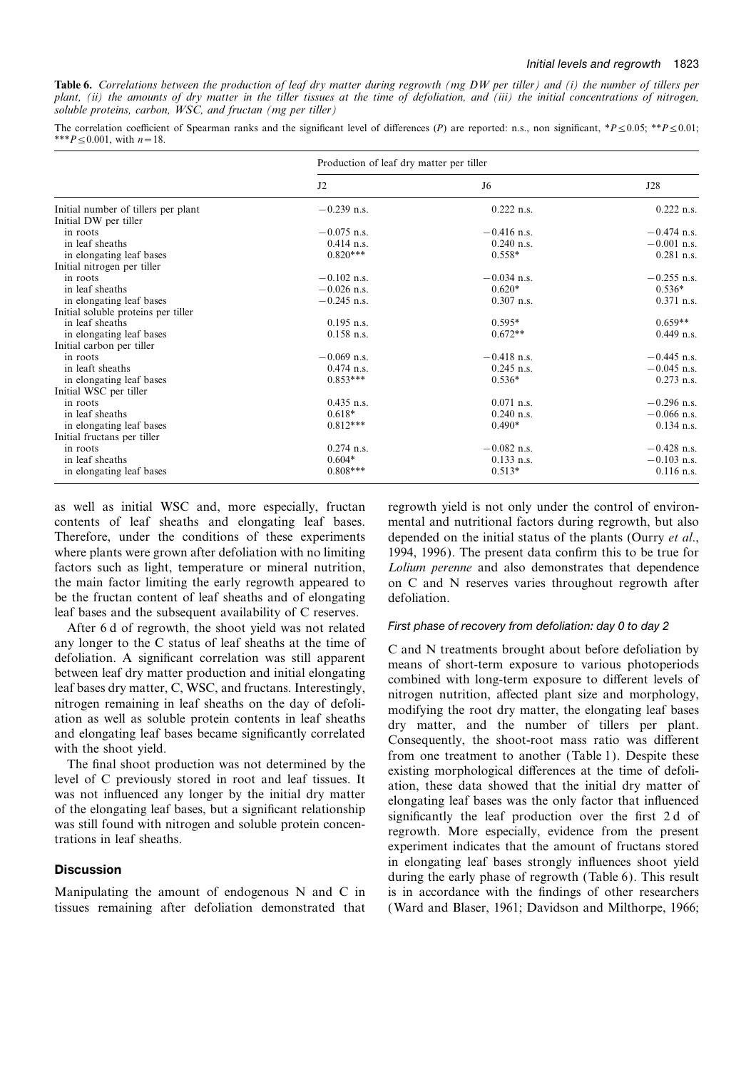**Table 6.** *Correlations between the production of leaf dry matter during regrowth (mg DW per tiller) and (i) the number of tillers per plant, (ii) the amounts of dry matter in the tiller tissues at the time of defoliation, and (iii) the initial concentrations of nitrogen, soluble proteins, carbon, WSC, and fructan (mg per tiller)*

The correlation coefficient of Spearman ranks and the significant level of differences (*P*) are reported: n.s., non significant, \**P*≤0.05; \*\**P*≤0.01; \*\*\**P*≤0.001, with *n*=18.

|                                     | Production of leaf dry matter per tiller |               |               |  |
|-------------------------------------|------------------------------------------|---------------|---------------|--|
|                                     | J2                                       | J6            | J28           |  |
| Initial number of tillers per plant | $-0.239$ n.s.                            | $0.222$ n.s.  | $0.222$ n.s.  |  |
| Initial DW per tiller               |                                          |               |               |  |
| in roots                            | $-0.075$ n.s.                            | $-0.416$ n.s. | $-0.474$ n.s. |  |
| in leaf sheaths                     | $0.414$ n.s.                             | $0.240$ n.s.  | $-0.001$ n.s. |  |
| in elongating leaf bases            | $0.820***$                               | $0.558*$      | $0.281$ n.s.  |  |
| Initial nitrogen per tiller         |                                          |               |               |  |
| in roots                            | $-0.102$ n.s.                            | $-0.034$ n.s. | $-0.255$ n.s. |  |
| in leaf sheaths                     | $-0.026$ n.s.                            | $0.620*$      | $0.536*$      |  |
| in elongating leaf bases            | $-0.245$ n.s.                            | $0.307$ n.s.  | $0.371$ n.s.  |  |
| Initial soluble proteins per tiller |                                          |               |               |  |
| in leaf sheaths                     | $0.195$ n.s.                             | $0.595*$      | $0.659**$     |  |
| in elongating leaf bases            | $0.158$ n.s.                             | $0.672**$     | $0.449$ n.s.  |  |
| Initial carbon per tiller           |                                          |               |               |  |
| in roots                            | $-0.069$ n.s.                            | $-0.418$ n.s. | $-0.445$ n.s. |  |
| in leaft sheaths                    | $0.474$ n.s.                             | $0.245$ n.s.  | $-0.045$ n.s. |  |
| in elongating leaf bases            | $0.853***$                               | $0.536*$      | $0.273$ n.s.  |  |
| Initial WSC per tiller              |                                          |               |               |  |
| in roots                            | $0.435$ n.s.                             | $0.071$ n.s.  | $-0.296$ n.s. |  |
| in leaf sheaths                     | $0.618*$                                 | $0.240$ n.s.  | $-0.066$ n.s. |  |
| in elongating leaf bases            | $0.812***$                               | $0.490*$      | $0.134$ n.s.  |  |
| Initial fructans per tiller         |                                          |               |               |  |
| in roots                            | $0.274$ n.s.                             | $-0.082$ n.s. | $-0.428$ n.s. |  |
| in leaf sheaths                     | $0.604*$                                 | $0.133$ n.s.  | $-0.103$ n.s. |  |
| in elongating leaf bases            | $0.808***$                               | $0.513*$      | $0.116$ n.s.  |  |

be the fructan content of leaf sheaths and of elongating defoliation. leaf bases and the subsequent availability of C reserves.

After 6 d of regrowth, the shoot yield was not related First phase of recovery from defoliation: day 0 to day 2

as well as initial WSC and, more especially, fructan regrowth yield is not only under the control of environcontents of leaf sheaths and elongating leaf bases. mental and nutritional factors during regrowth, but also Therefore, under the conditions of these experiments depended on the initial status of the plants (Ourry *et al*., where plants were grown after defoliation with no limiting 1994, 1996). The present data confirm this to be true for factors such as light, temperature or mineral nutrition, *Lolium perenne* and also demonstrates that dependence the main factor limiting the early regrowth appeared to on C and N reserves varies throughout regrowth after

any longer to the C status of leaf sheaths at the time of<br>devolation. A significant correlation was still apparent correlation was still apparent between leaf dy matter production and initial elongating<br>between leaf dy mat **Discussion**<br>in elongating leaf bases strongly influences shoot yield<br>during the early phase of regrowth (Table 6). This result Manipulating the amount of endogenous  $N$  and  $C$  in is in accordance with the findings of other researchers tissues remaining after defoliation demonstrated that ( Ward and Blaser, 1961; Davidson and Milthorpe, 1966;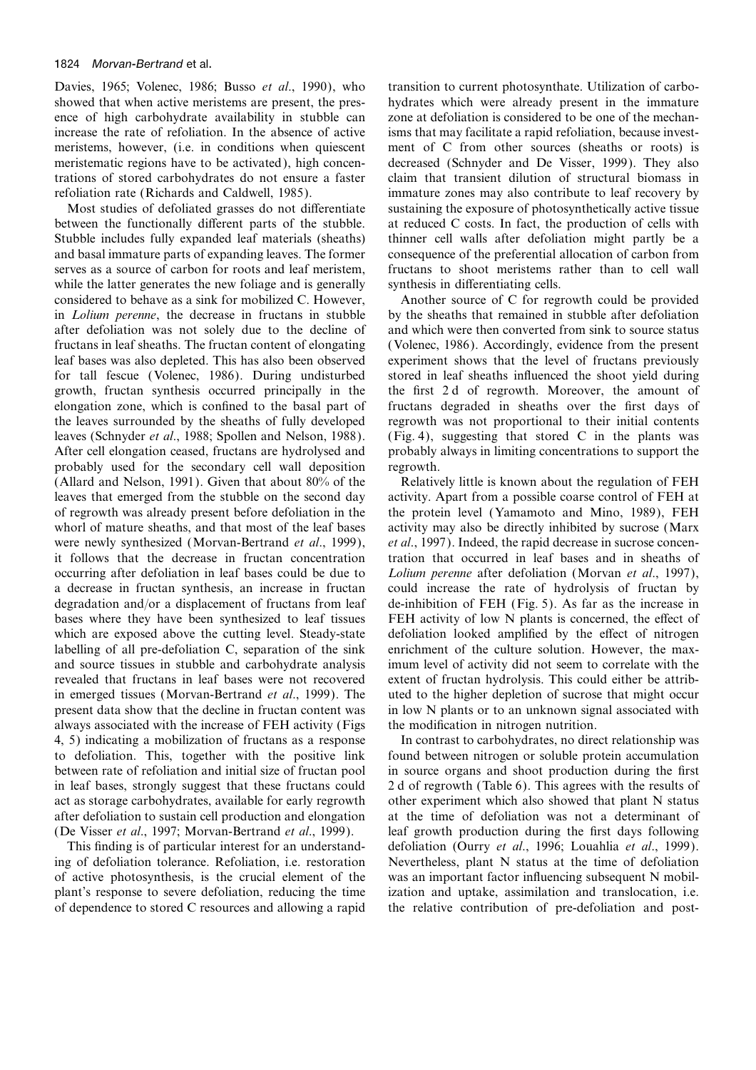showed that when active meristems are present, the pres- hydrates which were already present in the immature ence of high carbohydrate availability in stubble can zone at defoliation is considered to be one of the mechanincrease the rate of refoliation. In the absence of active isms that may facilitate a rapid refoliation, because investmeristems, however, (i.e. in conditions when quiescent ment of C from other sources (sheaths or roots) is meristematic regions have to be activated), high concen- decreased (Schnyder and De Visser, 1999). They also trations of stored carbohydrates do not ensure a faster claim that transient dilution of structural biomass in refoliation rate (Richards and Caldwell, 1985). immature zones may also contribute to leaf recovery by

between the functionally different parts of the stubble. at reduced C costs. In fact, the production of cells with Stubble includes fully expanded leaf materials (sheaths) thinner cell walls after defoliation might partly be a and basal immature parts of expanding leaves. The former consequence of the preferential allocation of carbon from serves as a source of carbon for roots and leaf meristem, fructans to shoot meristems rather than to cell wall while the latter generates the new foliage and is generally synthesis in differentiating cells. considered to behave as a sink for mobilized C. However, Another source of C for regrowth could be provided in *Lolium perenne*, the decrease in fructans in stubble by the sheaths that remained in stubble after defoliation after defoliation was not solely due to the decline of and which were then converted from sink to source status fructans in leaf sheaths. The fructan content of elongating (Volenec, 1986). Accordingly, evidence from the present leaf bases was also depleted. This has also been observed experiment shows that the level of fructans previously for tall fescue (Volenec, 1986). During undisturbed stored in leaf sheaths influenced the shoot yield during growth, fructan synthesis occurred principally in the the first 2 d of regrowth. Moreover, the amount of elongation zone, which is confined to the basal part of fructans degraded in sheaths over the first days of the leaves surrounded by the sheaths of fully developed regrowth was not proportional to their initial contents leaves (Schnyder *et al*., 1988; Spollen and Nelson, 1988). (Fig. 4), suggesting that stored C in the plants was After cell elongation ceased, fructans are hydrolysed and probably always in limiting concentrations to support the probably used for the secondary cell wall deposition regrowth. (Allard and Nelson, 1991). Given that about 80% of the Relatively little is known about the regulation of FEH leaves that emerged from the stubble on the second day activity. Apart from a possible coarse control of FEH at of regrowth was already present before defoliation in the the protein level (Yamamoto and Mino, 1989), FEH whorl of mature sheaths, and that most of the leaf bases activity may also be directly inhibited by sucrose (Marx were newly synthesized (Morvan-Bertrand *et al*., 1999), *et al*., 1997). Indeed, the rapid decrease in sucrose concenit follows that the decrease in fructan concentration tration that occurred in leaf bases and in sheaths of occurring after defoliation in leaf bases could be due to *Lolium perenne* after defoliation (Morvan *et al*., 1997), a decrease in fructan synthesis, an increase in fructan could increase the rate of hydrolysis of fructan by degradation and/or a displacement of fructans from leaf de-inhibition of FEH (Fig. 5). As far as the increase in bases where they have been synthesized to leaf tissues FEH activity of low N plants is concerned, the effect of which are exposed above the cutting level. Steady-state defoliation looked amplified by the effect of nitrogen labelling of all pre-defoliation C, separation of the sink enrichment of the culture solution. However, the maxand source tissues in stubble and carbohydrate analysis imum level of activity did not seem to correlate with the revealed that fructans in leaf bases were not recovered extent of fructan hydrolysis. This could either be attribin emerged tissues (Morvan-Bertrand *et al*., 1999). The uted to the higher depletion of sucrose that might occur present data show that the decline in fructan content was in low N plants or to an unknown signal associated with always associated with the increase of FEH activity (Figs the modification in nitrogen nutrition. 4, 5) indicating a mobilization of fructans as a response In contrast to carbohydrates, no direct relationship was to defoliation. This, together with the positive link found between nitrogen or soluble protein accumulation between rate of refoliation and initial size of fructan pool in source organs and shoot production during the first in leaf bases, strongly suggest that these fructans could 2 d of regrowth (Table 6). This agrees with the results of act as storage carbohydrates, available for early regrowth other experiment which also showed that plant N status after defoliation to sustain cell production and elongation at the time of defoliation was not a determinant of (De Visser *et al*., 1997; Morvan-Bertrand *et al*., 1999). leaf growth production during the first days following

ing of defoliation tolerance. Refoliation, i.e. restoration Nevertheless, plant N status at the time of defoliation of active photosynthesis, is the crucial element of the was an important factor influencing subsequent N mobilplant's response to severe defoliation, reducing the time ization and uptake, assimilation and translocation, i.e. of dependence to stored C resources and allowing a rapid the relative contribution of pre-defoliation and post-

Davies, 1965; Volenec, 1986; Busso *et al.*, 1990), who transition to current photosynthate. Utilization of carbo-Most studies of defoliated grasses do not differentiate sustaining the exposure of photosynthetically active tissue

This finding is of particular interest for an understand- defoliation (Ourry *et al*., 1996; Louahlia *et al*., 1999).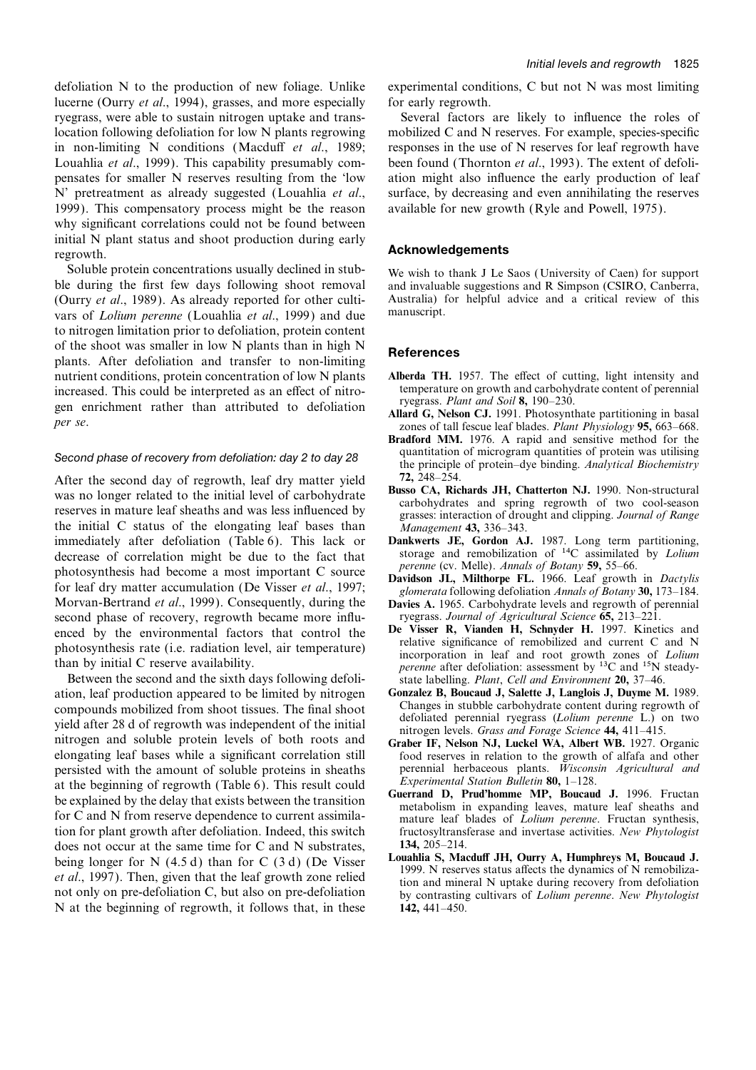lucerne (Ourry *et al.*, 1994), grasses, and more especially for early regrowth. ryegrass, were able to sustain nitrogen uptake and trans- Several factors are likely to influence the roles of location following defoliation for low N plants regrowing mobilized C and N reserves. For example, species-specific in non-limiting N conditions (Macduff *et al*., 1989; responses in the use of N reserves for leaf regrowth have Louahlia *et al*., 1999). This capability presumably com- been found (Thornton *et al*., 1993). The extent of defolipensates for smaller N reserves resulting from the 'low ation might also influence the early production of leaf N' pretreatment as already suggested (Louahlia *et al*., surface, by decreasing and even annihilating the reserves 1999). This compensatory process might be the reason available for new growth (Ryle and Powell, 1975). why significant correlations could not be found between initial N plant status and shoot production during early **Acknowledgements Acknowledgements** 

Soluble protein concentrations usually declined in stub-<br>We wish to thank J Le Saos (University of Caen) for support<br>ble during the first few days following shoot removal and invaluable suggestions and R Simpson (CSIRO, Ca (Ourry *et al.*, 1989). As already reported for other culti-<br>vars of Lolium perenne (Louablia et al. 1999) and due manuscript. vars of *Lolium perenne* (Louahlia *et al.*, 1999) and due to nitrogen limitation prior to defoliation, protein content of the shoot was smaller in low N plants than in high  $N$  References plants. After defoliation and transfer to non-limiting nutrient conditions, protein concentration of low N plants **Alberda TH.** 1957. The effect of cutting, light intensity and increased This could be interpreted as an effect of pitro-<br>temperature on growth and carbohydrate co increased. This could be interpreted as an effect of nitro-<br>
regrass. Plant and Soil 8, 190–230. gen enrichment rather than attributed to defoliation **Allard G, Nelson CJ.** 1991. Photosynthate partitioning in basal<br>*per se*.

After the second day of regrowth, leaf dry matter yield  $\frac{72}{248-254}$ .<br>was no longer related to the initial loyal of opthobydrate **Busso CA, Richards JH, Chatterton NJ.** 1990. Non-structural was no longer related to the initial level of carbohydrate<br>reserves in mature leaf sheaths and was less influenced by<br>the initial C status of the elongating leaf bases than<br>immediately after defoliation (Table 6). This lac immediately after defoliation (Table 6). This lack or **Dankwerts JE, Gordon AJ.** 1987. Long term partitioning, decrease of correlation might be due to the fact that storage and remobilization of <sup>14</sup>C assimilated by *Loliu* decrease of correlation might be due to the fact that storage and remobilization of <sup>14</sup>C assimilated percence correlation by  $\frac{14C}{P}$  assimilated by  $\frac{14C}{P}$  assimilated percence (cv. Melle). Annals of Botany **59**, photosynthesis had become a most important C source<br>for leaf dry matter accumulation (De Visser *et al.*, 1997;<br>*glomerata* following defoliation *Annals of Botany* 30, 173–184. Morvan-Bertrand *et al.*, 1999). Consequently, during the **Davies A.** 1965. Carbohydrate levels and regrowth of perennial second phase of recovery, regrowth became more influ-<br>ryegrass. Journal of Agricultural Science **65** second phase of recovery, regrowth became more influ-<br>enced by the environmental factors that control the<br>**De Visser R, Vianden H, Schnyder H.** 1997. Kinetics and

Between the second and the sixth days following defoli-<br>
ion, leaf production appeared to be limited by nitrogen<br> **Gonzalez B, Boucaud J, Salette J, Langlois J, Duyme M,** 1989. ation, leaf production appeared to be limited by nitrogen **Gonzalez B, Boucaud J, Salette J, Langlois J, Duyme M.** 1989. compounds mobilized from shoot tissues. The final shoot<br>yield after 28 d of regrowth was independent of the initial<br>nitrogen levels. Grass and Forage Science 44, 411–415.<br>Introgen and soluble protein levels of both roots a persisted with the amount of soluble proteins in sheaths perennial herbaceous plants. *Wiscons* at the beginning of regrowth (Table 6). This result could *Experimental Station Bulletin* **80**, 1–128. at the beginning of regrowth (Table 6). This result could<br>be explained by the delay that exists between the transition<br>for C and N from reserve dependence to current assimila-<br>tion for plant growth after defoliation. Indee does not occur at the same time for C and N substrates,  $134, 205-214$ .<br>heing longer for N (4.5.4) than for C (3.4) (De Visser Louahlia S, Macduff JH, Ourry A, Humphreys M, Boucaud J. being longer for N (4.5 d) than for C (3 d) (De Visser<br>et al., 1997). Then, given that the leaf growth zone relied<br>not only on pre-defoliation C, but also on pre-defoliation<br>by contrasting cultivars of Lolium perenne. New N at the beginning of regrowth, it follows that, in these **142,** 441–450.

defoliation N to the production of new foliage. Unlike experimental conditions, C but not N was most limiting

and invaluable suggestions and R Simpson (CSIRO, Canberra,

- 
- *per se*. zones of tall fescue leaf blades. *Plant Physiology* **95,** 663–668.
- **Bradford MM.** 1976. A rapid and sensitive method for the quantitation of microgram quantities of protein was utilising Second phase of recovery from defoliation: day 2 to day 28 quantitation of microgram quantities of protein was utilising<br>the principle of protein–dye binding. *Analytical Biochemistry* 
	-
	-
	-
	-
- enced by the environmental factors that control the **De Visser R, Vianden H, Schnyder H.** 1997. Kinetics and photosynthesis rate (i.e. radiation level, air temperature) than by initial C reserve availability.<br>
than by ini
	-
- Graber IF, Nelson NJ, Luckel WA, Albert WB. 1927. Organic elongating leaf bases while a significant correlation still food reserves in relation to the growth of alfafa and other<br>persisted with the amount of soluble proteins in sheaths perennial herbaceous plants. Wisconsin Agricu
	- fructosyltransferase and invertase activities. *New Phytologist* 134, 205–214.
	-